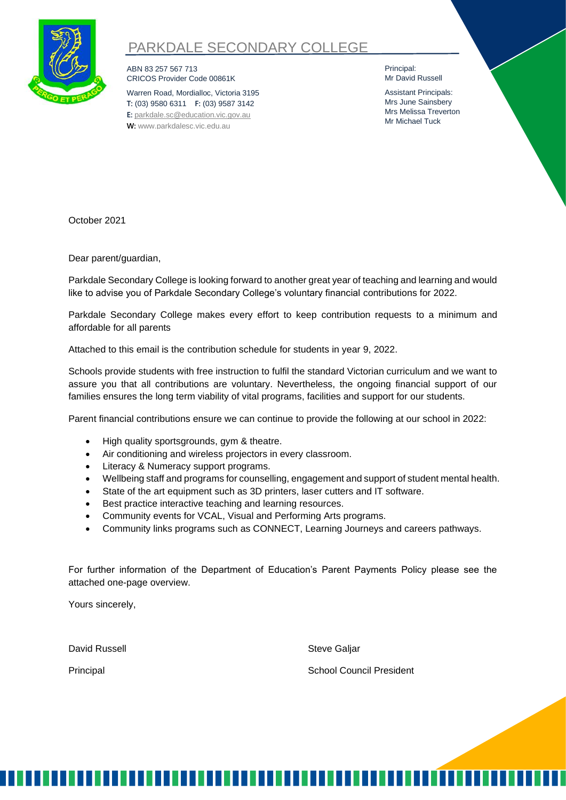

# PARKDALE SECONDARY COLLEGE

ABN 83 257 567 713 CRICOS Provider Code 00861K

Warren Road, Mordialloc, Victoria 3195 **T:** (03) 9580 6311 **F:** (03) 9587 3142 **E:** [parkdale.sc@education.vic.gov.au](mailto:parkdale.sc@education.vic.gov.au) **W:** [www.parkdalesc.vic.edu.au](http://www.parkdalesc.vic.edu.au/)

Principal: Mr David Russell

Assistant Principals: Mrs June Sainsbery Mrs Melissa Treverton Mr Michael Tuck

October 2021

Dear parent/guardian,

Parkdale Secondary College is looking forward to another great year of teaching and learning and would like to advise you of Parkdale Secondary College's voluntary financial contributions for 2022.

Parkdale Secondary College makes every effort to keep contribution requests to a minimum and affordable for all parents

Attached to this email is the contribution schedule for students in year 9, 2022.

Schools provide students with free instruction to fulfil the standard Victorian curriculum and we want to assure you that all contributions are voluntary. Nevertheless, the ongoing financial support of our families ensures the long term viability of vital programs, facilities and support for our students.

Parent financial contributions ensure we can continue to provide the following at our school in 2022:

- High quality sportsgrounds, gym & theatre.
- Air conditioning and wireless projectors in every classroom.
- Literacy & Numeracy support programs.
- Wellbeing staff and programs for counselling, engagement and support of student mental health.
- State of the art equipment such as 3D printers, laser cutters and IT software.
- Best practice interactive teaching and learning resources.
- Community events for VCAL, Visual and Performing Arts programs.
- Community links programs such as CONNECT, Learning Journeys and careers pathways.

For further information of the Department of Education's Parent Payments Policy please see the attached one-page overview.

Yours sincerely,

David Russell **Steve Galiar** Steve Galiar

Principal **School Council President**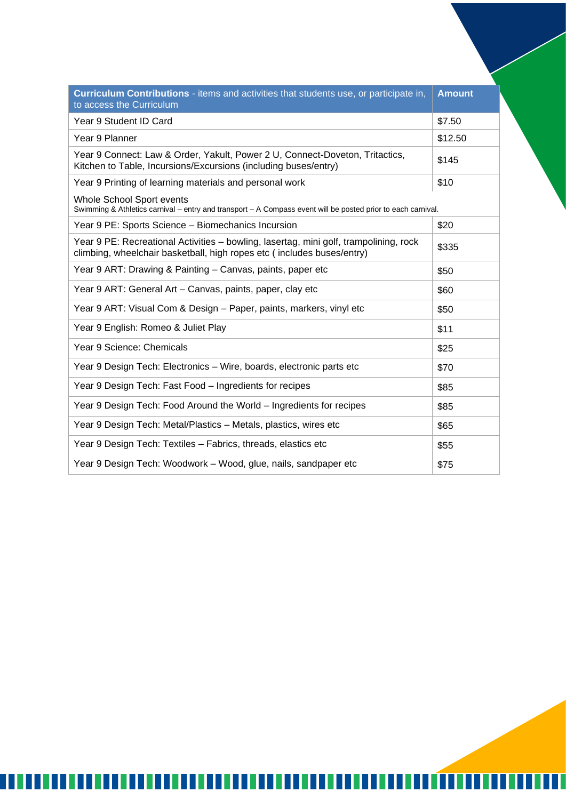| Curriculum Contributions - items and activities that students use, or participate in,<br>to access the Curriculum                                               | <b>Amount</b> |
|-----------------------------------------------------------------------------------------------------------------------------------------------------------------|---------------|
| Year 9 Student ID Card                                                                                                                                          | \$7.50        |
| Year 9 Planner                                                                                                                                                  | \$12.50       |
| Year 9 Connect: Law & Order, Yakult, Power 2 U, Connect-Doveton, Tritactics,<br>Kitchen to Table, Incursions/Excursions (including buses/entry)                 | \$145         |
| Year 9 Printing of learning materials and personal work                                                                                                         | \$10          |
| Whole School Sport events<br>Swimming & Athletics carnival - entry and transport - A Compass event will be posted prior to each carnival.                       |               |
| Year 9 PE: Sports Science - Biomechanics Incursion                                                                                                              | \$20          |
| Year 9 PE: Recreational Activities – bowling, lasertag, mini golf, trampolining, rock<br>climbing, wheelchair basketball, high ropes etc (includes buses/entry) | \$335         |
| Year 9 ART: Drawing & Painting - Canvas, paints, paper etc                                                                                                      | \$50          |
| Year 9 ART: General Art - Canvas, paints, paper, clay etc                                                                                                       | \$60          |
| Year 9 ART: Visual Com & Design - Paper, paints, markers, vinyl etc                                                                                             | \$50          |
| Year 9 English: Romeo & Juliet Play                                                                                                                             | \$11          |
| Year 9 Science: Chemicals                                                                                                                                       | \$25          |
| Year 9 Design Tech: Electronics – Wire, boards, electronic parts etc                                                                                            | \$70          |
| Year 9 Design Tech: Fast Food - Ingredients for recipes                                                                                                         | \$85          |
| Year 9 Design Tech: Food Around the World – Ingredients for recipes                                                                                             | \$85          |
| Year 9 Design Tech: Metal/Plastics - Metals, plastics, wires etc                                                                                                | \$65          |
| Year 9 Design Tech: Textiles - Fabrics, threads, elastics etc                                                                                                   | \$55          |
| Year 9 Design Tech: Woodwork – Wood, glue, nails, sandpaper etc                                                                                                 | \$75          |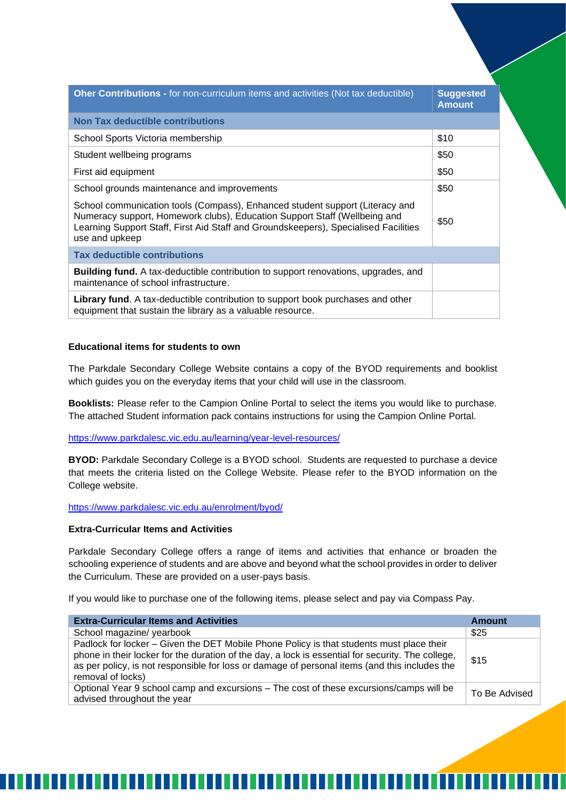| <b>Oher Contributions - for non-curriculum items and activities (Not tax deductible)</b>                                                                                                                                                                           | <b>Suggested</b><br><b>Amount</b> |
|--------------------------------------------------------------------------------------------------------------------------------------------------------------------------------------------------------------------------------------------------------------------|-----------------------------------|
| <b>Non Tax deductible contributions</b>                                                                                                                                                                                                                            |                                   |
| School Sports Victoria membership                                                                                                                                                                                                                                  | \$10                              |
| Student wellbeing programs                                                                                                                                                                                                                                         | \$50                              |
| First aid equipment                                                                                                                                                                                                                                                | \$50                              |
| School grounds maintenance and improvements                                                                                                                                                                                                                        | \$50                              |
| School communication tools (Compass), Enhanced student support (Literacy and<br>Numeracy support, Homework clubs), Education Support Staff (Wellbeing and<br>Learning Support Staff, First Aid Staff and Groundskeepers), Specialised Facilities<br>use and upkeep | \$50                              |
| <b>Tax deductible contributions</b>                                                                                                                                                                                                                                |                                   |
| <b>Building fund.</b> A tax-deductible contribution to support renovations, upgrades, and<br>maintenance of school infrastructure.                                                                                                                                 |                                   |
| <b>Library fund.</b> A tax-deductible contribution to support book purchases and other<br>equipment that sustain the library as a valuable resource.                                                                                                               |                                   |

### **Educational items for students to own**

The Parkdale Secondary College Website contains a copy of the BYOD requirements and booklist which guides you on the everyday items that your child will use in the classroom.

**Booklists:** Please refer to the Campion Online Portal to select the items you would like to purchase. The attached Student information pack contains instructions for using the Campion Online Portal.

<https://www.parkdalesc.vic.edu.au/learning/year-level-resources/>

**BYOD:** Parkdale Secondary College is a BYOD school. Students are requested to purchase a device that meets the criteria listed on the College Website. Please refer to the BYOD information on the College website.

<https://www.parkdalesc.vic.edu.au/enrolment/byod/>

## **Extra-Curricular Items and Activities**

Parkdale Secondary College offers a range of items and activities that enhance or broaden the schooling experience of students and are above and beyond what the school provides in order to deliver the Curriculum. These are provided on a user-pays basis.

If you would like to purchase one of the following items, please select and pay via Compass Pay.

| <b>Extra-Curricular Items and Activities</b>                                                                                                                                                                                                                                                                        | <b>Amount</b> |
|---------------------------------------------------------------------------------------------------------------------------------------------------------------------------------------------------------------------------------------------------------------------------------------------------------------------|---------------|
| School magazine/ yearbook                                                                                                                                                                                                                                                                                           | \$25          |
| Padlock for locker - Given the DET Mobile Phone Policy is that students must place their<br>phone in their locker for the duration of the day, a lock is essential for security. The college,<br>as per policy, is not responsible for loss or damage of personal items (and this includes the<br>removal of locks) | \$15          |
| Optional Year 9 school camp and excursions - The cost of these excursions/camps will be<br>advised throughout the year                                                                                                                                                                                              | To Be Advised |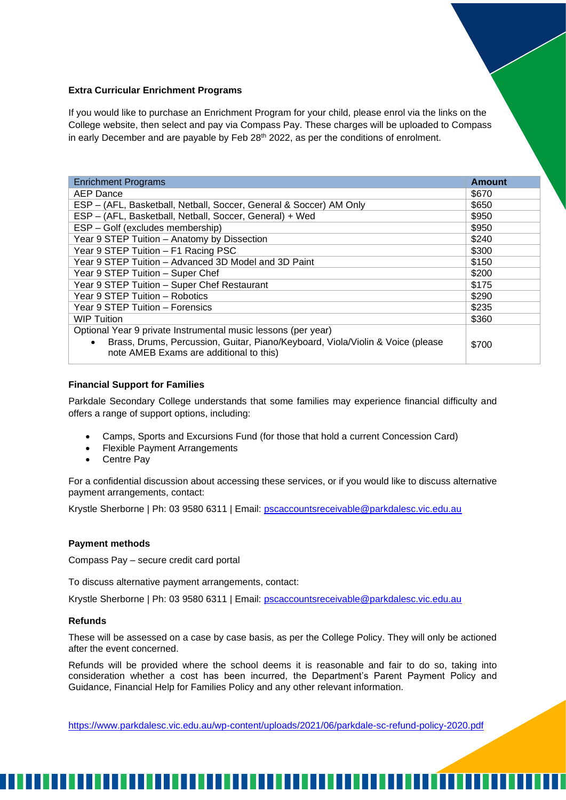### **Extra Curricular Enrichment Programs**

If you would like to purchase an Enrichment Program for your child, please enrol via the links on the College website, then select and pay via Compass Pay. These charges will be uploaded to Compass in early December and are payable by Feb 28<sup>th</sup> 2022, as per the conditions of enrolment.

| <b>Enrichment Programs</b>                                                                                                                                                                              | Amount |
|---------------------------------------------------------------------------------------------------------------------------------------------------------------------------------------------------------|--------|
| AEP Dance                                                                                                                                                                                               | \$670  |
| ESP - (AFL, Basketball, Netball, Soccer, General & Soccer) AM Only                                                                                                                                      | \$650  |
| ESP - (AFL, Basketball, Netball, Soccer, General) + Wed                                                                                                                                                 | \$950  |
| ESP - Golf (excludes membership)                                                                                                                                                                        | \$950  |
| Year 9 STEP Tuition - Anatomy by Dissection                                                                                                                                                             | \$240  |
| Year 9 STEP Tuition - F1 Racing PSC                                                                                                                                                                     | \$300  |
| Year 9 STEP Tuition - Advanced 3D Model and 3D Paint                                                                                                                                                    | \$150  |
| Year 9 STEP Tuition - Super Chef                                                                                                                                                                        | \$200  |
| Year 9 STEP Tuition - Super Chef Restaurant                                                                                                                                                             | \$175  |
| Year 9 STEP Tuition - Robotics                                                                                                                                                                          | \$290  |
| Year 9 STEP Tuition - Forensics                                                                                                                                                                         | \$235  |
| <b>WIP Tuition</b>                                                                                                                                                                                      | \$360  |
| Optional Year 9 private Instrumental music lessons (per year)<br>Brass, Drums, Percussion, Guitar, Piano/Keyboard, Viola/Violin & Voice (please<br>$\bullet$<br>note AMEB Exams are additional to this) | \$700  |

### **Financial Support for Families**

Parkdale Secondary College understands that some families may experience financial difficulty and offers a range of support options, including:

- Camps, Sports and Excursions Fund (for those that hold a current Concession Card)
- **Flexible Payment Arrangements**
- Centre Pay

For a confidential discussion about accessing these services, or if you would like to discuss alternative payment arrangements, contact:

Krystle Sherborne | Ph: 03 9580 6311 | Email: [pscaccountsreceivable@parkdalesc.vic.edu.au](mailto:pscaccountsreceivable@parkdalesc.vic.edu.au)

### **Payment methods**

Compass Pay – secure credit card portal

To discuss alternative payment arrangements, contact:

Krystle Sherborne | Ph: 03 9580 6311 | Email: [pscaccountsreceivable@parkdalesc.vic.edu.au](mailto:pscaccountsreceivable@parkdalesc.vic.edu.au)

### **Refunds**

These will be assessed on a case by case basis, as per the College Policy. They will only be actioned after the event concerned.

Refunds will be provided where the school deems it is reasonable and fair to do so, taking into consideration whether a cost has been incurred, the Department's Parent Payment Policy and Guidance, Financial Help for Families Policy and any other relevant information.

<https://www.parkdalesc.vic.edu.au/wp-content/uploads/2021/06/parkdale-sc-refund-policy-2020.pdf>